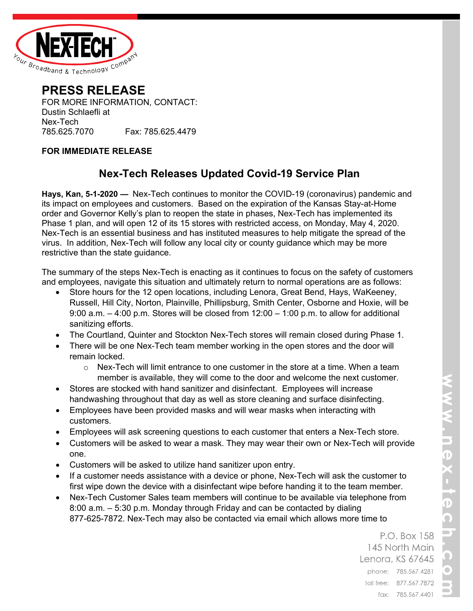

## **PRESS RELEASE**

FOR MORE INFORMATION, CONTACT: Dustin Schlaefli at Nex-Tech<br>785.625.7070 785.625.7070 Fax: 785.625.4479

## **FOR IMMEDIATE RELEASE**

## **Nex-Tech Releases Updated Covid-19 Service Plan**

**Hays, Kan, 5-1-2020 —** Nex-Tech continues to monitor the COVID-19 (coronavirus) pandemic and its impact on employees and customers. Based on the expiration of the Kansas Stay-at-Home order and Governor Kelly's plan to reopen the state in phases, Nex-Tech has implemented its Phase 1 plan, and will open 12 of its 15 stores with restricted access, on Monday, May 4, 2020. Nex-Tech is an essential business and has instituted measures to help mitigate the spread of the virus. In addition, Nex-Tech will follow any local city or county guidance which may be more restrictive than the state guidance.

The summary of the steps Nex-Tech is enacting as it continues to focus on the safety of customers and employees, navigate this situation and ultimately return to normal operations are as follows:

- Store hours for the 12 open locations, including Lenora, Great Bend, Hays, WaKeeney, Russell, Hill City, Norton, Plainville, Phillipsburg, Smith Center, Osborne and Hoxie, will be 9:00 a.m.  $-4:00$  p.m. Stores will be closed from  $12:00 - 1:00$  p.m. to allow for additional sanitizing efforts.
- The Courtland, Quinter and Stockton Nex-Tech stores will remain closed during Phase 1.
- There will be one Nex-Tech team member working in the open stores and the door will remain locked.
	- $\circ$  Nex-Tech will limit entrance to one customer in the store at a time. When a team member is available, they will come to the door and welcome the next customer.
- Stores are stocked with hand sanitizer and disinfectant. Employees will increase handwashing throughout that day as well as store cleaning and surface disinfecting.
- Employees have been provided masks and will wear masks when interacting with customers.
- Employees will ask screening questions to each customer that enters a Nex-Tech store.
- Customers will be asked to wear a mask. They may wear their own or Nex-Tech will provide one.
- Customers will be asked to utilize hand sanitizer upon entry.
- If a customer needs assistance with a device or phone, Nex-Tech will ask the customer to first wipe down the device with a disinfectant wipe before handing it to the team member.
- Nex-Tech Customer Sales team members will continue to be available via telephone from 8:00 a.m. – 5:30 p.m. Monday through Friday and can be contacted by dialing 877-625-7872. Nex-Tech may also be contacted via email which allows more time to

P.O. Box 158 145 North Main Lenora, KS 67645 phone: 785.567.4281 toll free: 877.567.7872 fax: 785.567.4401